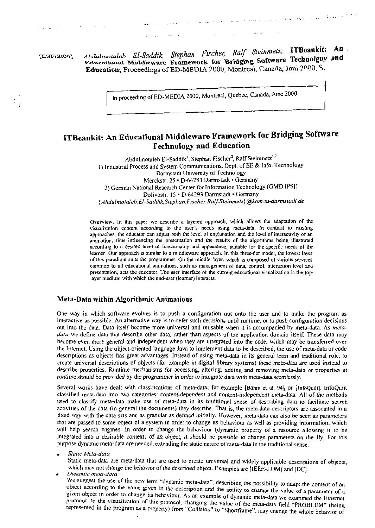[ESFiSt00]

Abdulmotaleb El-Saddik, Stephan Fischer, Ralf Steinmetz; ITBeankit: An. Educational Middleware Framework for Bridging Software Technolgoy and Education; Proceedings of ED-MEDIA 2000, Montreal, Canada, Juni 2000, S.

In proceeding of ED-MEDIA 2000, Montreal, Quebec, Canada, June 2000

# ITBeankit: An Educational Middleware Framework for Bridging Software **Technology and Education**

Abdulmotaleb El-Saddik<sup>1</sup>, Stephan Fischer<sup>2</sup>, Ralf Steinmetz<sup>1,2</sup> 1) Industrial Process and System Communications, Dept. of EE & Info. Technology Darmstadt University of Technology Merckstr. 25 · D-64283 Darmstadt · Germany 2) German National Research Center for Information Technology (GMD IPSI) Dolivostr. 15 · D-64293 Darmstadt · Germany {Abdulmotaleb.El-Saddik, Stephan.Fischer, Ralf.Steinmetz} @kom.tu-darmstadt.de

Overview: In this paper we describe a layered approach, which allows the adaptation of the visualization content according to the user's needs using meta-data. In contrast to existing approaches, the educator can adjust both the level of explanation and the level of interactivity of an animation, thus influencing the presentation and the results of the algorithms being illustrated according to a desired level of functionality and appearance, suitable for the specific needs of the learner. Our approach is similar to a middleware approach. In this three-tier model, the lowest layer of this paradigm suits the programmer. On the middle layer, which is composed of various services common to all educational animations, such as management of data, control, interaction level and presentation, acts the educator. The user interface of the current educational visualization is the toplayer medium with which the end-user (learner) interacts.

### Meta-Data within Algorithmic Animations

One way in which software evolves is to push a configuration out onto the user and to make the program as interactive as possible. An alternative way is to defer such decisions until runtime, or to push configuration decisions out into the data. Data itself become more universal and reusable when it is accompanied by meta-data. As metadata we define data that describe other data, rather than aspects of the application domain itself. These data may become even more general and independent when they are integrated into the code, which may be transferred over the Internet. Using the object-oriented language Java to implement data to be described, the use of meta-data or code descriptions as objects has great advantages. Instead of using meta-data in its general term and traditional role, to create universal descriptions of objects (for example in digital library systems) these meta-data are used instead to describe properties. Runtime mechanisms for accessing, altering, adding and removing meta-data or properties at runtime should be provided by the programmer in order to integrate data with meta-data seemlessly.

Several works have dealt with classifications of meta-data, for example [Böhm et al. 94] or [InfoQuilt]. InfoQuilt classified meta-data into two categories: content-dependent and content-independent meta-data. All of the methods used to classify meta-data make use of meta-data in its traditional sense of describing data to facilitate search activities of the data (in general the documents) they describe. That is, the meta-data descriptors are associated in a fixed way with the data sets and as granular as defined initially. However, meta-data can also be seen as parameters that are passed to some object of a system in order to change its behaviour as well as providing information, which will help search engines. In order to change the behaviour (dynamic property of a resource allowing it to be integrated into a desirable context) of an object, it should be possible to change parameters on the fly. For this purpose dynamic meta-data are needed, extending the static nature of meta-data in the traditional sense.

Static Meta-data

Static meta-data are meta-data that are used to create universal and widely applicable descriptions of objects, which may not change the behavior of the described object. Examples are [IEEE-LOM] and [DC].

Dynamic meta-data

We suggest the use of the new term "dynamic meta-data", describing the possibility to adapt the content of an object according to the value given in the description and the ability to change the value of a parameter of a given object in order to change its behaviour. As an example of dynamic meta-data we examined the Ethernet protocol. In the visualization of this protocol, changing the value of the meta-data field "PROBLEM" (being represented in the program as a property) from "Collision" to "Shortframe", may change the whole behavior of